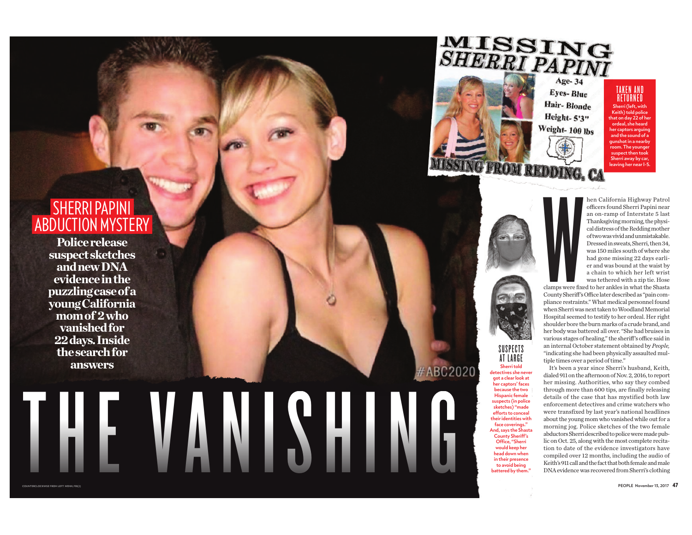# **SHERRI PAPINI ABDUCTION MYSTERY**

Police release suspect sketches and new DNA evidence in the puzzling case of a young California mom of 2 who vanished for 22 days. Inside the search for answers

h

**EV** 

A

**NISH** 

ı

**MISSING**<br>SHERRI PAPINI



Age- $34$ TAKEN AND<br>Returned **Eyes-Blue Hair-Blonde** Sherri (left. with Height- 5'3" at on day 22 of he Weight-100 lbs ichot in a nearb room. The vounae suspect then tool .<br>erri away by car aving her near I-5



### SUSPECTS AT LARGE Sherri told

detectives she never got a clear look at her captors' faces because the two **Hispanic female** suspects (in police sketches) "made efforts to conceal their identities with face coverings." And, says the Shasta County Sheriff's Office, "Sherri would keep her head down when in their presence to avoid being<br>battered by them.

hen California Highway Patrol officers found Sherri Papini near an on-ramp of Interstate 5 last Thanksgiving morning, the physical distress of the Redding mother of two was vivid and unmistakable. Dressed in sweats, Sherri, then 34, was 150 miles south of where she had gone missing 22 days earlier and was bound at the waist by a chain to which her left wrist was tethered with a zip tie. Hose

th) told police

clamps were fixed to her ankles in what the Shasta County Sheriff's Office later described as "pain compliance restraints." What medical personnel found when Sherri was next taken to Woodland Memorial Hospital seemed to testify to her ordeal. Her right shoulder bore the burn marks of a crude brand, and her body was battered all over. "She had bruises in various stages of healing." the sheriff's office said in an internal October statement obtained by People. "indicating she had been physically assaulted multiple times over a period of time."

It's been a year since Sherri's husband. Keith. dialed 911 on the afternoon of Nov. 2, 2016, to report her missing. Authorities, who say they combed through more than 600 tips, are finally releasing details of the case that has mystified both law enforcement detectives and crime watchers who were transfixed by last year's national headlines about the young mom who vanished while out for a morning jog. Police sketches of the two female abductors Sherri described to police were made public on Oct. 25, along with the most complete recitation to date of the evidence investigators have compiled over 12 months, including the audio of Keith's 911 call and the fact that both female and male DNA evidence was recovered from Sherri's clothing

PEOPLE November 13, 2017 47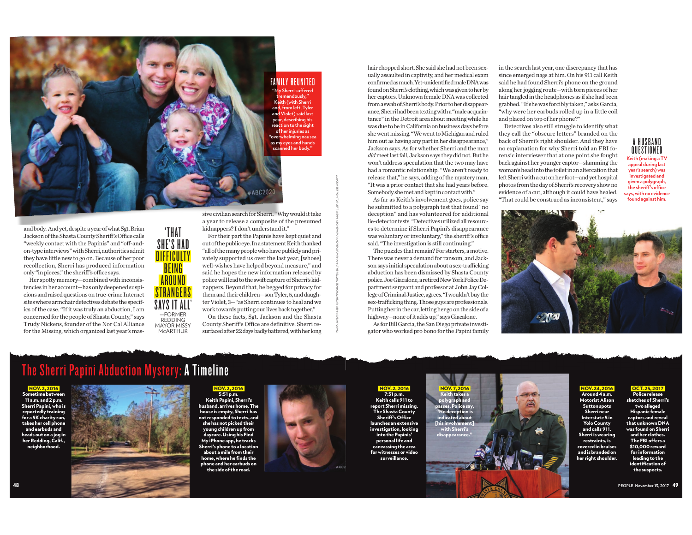

ina his

and body. And yet, despite a year of what Sgt. Brian Jackson of the Shasta County Sheriff's Office calls "weekly contact with the Papinis" and "off-andon-type interviews" with Sherri, authorities admit they have little new to go on. Because of her poor recollection, Sherri has produced information only "in pieces," the sheriff's office says.

Her spotty memory-combined with inconsistencies in her account-has only deepened suspicions and raised questions on true-crime Internet sites where armchair detectives debate the specifics of the case. "If it was truly an abduction, I am concerned for the people of Shasta County," says Trudy Nickens, founder of the Nor Cal Alliance for the Missing, which organized last year's mas-



sive civilian search for Sherri. "Why would it take a year to release a composite of the presumed kidnappers? I don't understand it."

For their part the Papinis have kept quiet and out of the public eye. In a statement Keith thanked "all of the many people who have publicly and privately supported us over the last year, [whose] well-wishes have helped beyond measure," and said he hopes the new information released by police will lead to the swift capture of Sherri's kidnappers. Beyond that, he begged for privacy for them and their children-son Tyler, 5, and daughter Violet, 3-"as Sherri continues to heal and we work towards putting our lives back together."

On these facts, Sgt. Jackson and the Shasta County Sheriff's Office are definitive: Sherri resurfaced after 22 days badly battered, with her long

hair chopped short. She said she had not been sexually assaulted in captivity, and her medical exam confirmed as much. Yet-unidentified male DNA was found on Sherri's clothing, which was given to her by her captors. Unknown female DNA was collected from a swab of Sherri's body. Prior to her disappearance, Sherri had been texting with a "male acquaintance" in the Detroit area about meeting while he was due to be in California on business days before she went missing. "We went to Michigan and ruled him out as having any part in her disappearance." Jackson says. As for whether Sherri and the man did meet last fall, Jackson says they did not. But he won't address speculation that the two may have had a romantic relationship. "We aren't ready to release that," he says, adding of the mystery man, "It was a prior contact that she had years before. Somebody she met and kept in contact with."

As far as Keith's involvement goes, police say he submitted to a polygraph test that found "no deception" and has volunteered for additional lie-detector tests. "Detectives utilized all resources to determine if Sherri Papini's disappearance was voluntary or involuntary," the sheriff's office said. "The investigation is still continuing."

The puzzles that remain? For starters, a motive. There was never a demand for ransom, and Jackson says initial speculation about a sex-trafficking abduction has been dismissed by Shasta County police. Joe Giacalone, a retired New York Police Department sergeant and professor at John Jay College of Criminal Justice, agrees. "I wouldn't buy the sex-trafficking thing. Those guys are professionals. Putting her in the car, letting her go on the side of a highway-none of it adds up," says Giacalone.

As for Bill Garcia, the San Diego private investigator who worked pro bono for the Papini family in the search last year, one discrepancy that has since emerged nags at him. On his 911 call Keith said he had found Sherri's phone on the ground along her jogging route-with torn pieces of her hair tangled in the headphones as if she had been grabbed. "If she was forcibly taken," asks Garcia, "why were her earbuds rolled up in a little coil and placed on top of her phone?"

Detectives also still struggle to identify what they call the "obscure letters" branded on the back of Sherri's right shoulder. And they have no explanation for why Sherri told an FBI forensic interviewer that at one point she fought back against her vounger captor-slamming the woman's head into the toilet in an altercation that left Sherri with a cut on her foot-and yet hospital photos from the day of Sherri's recovery show no evidence of a cut, although it could have healed. "That could be construed as inconsistent." says

A HUSBAND<br>QUESTIONED Keith (making a TV appeal during last year's search) was investigated and given a polygraph, the sheriff's office says, with no evidence found against him.



# The Sherri Papini Abduction Mystery: A Timeline

11 a.m. and 2 p.m.<br>Sherri Papini, who is<br>reportedly training for a 5K charity run, takes her cell phone and earbuds and heads out on a jog in<br>her Redding, Calif.,<br>neighborhood.



5:51 p.m.<br>Keith Papini, Sherri's<br>sband, arrives home. The house is empty, Sherri has<br>not responded to texts. and she has not picked their<br>young children up from care. Using his Find My iPhone app, he tracks ri's phone to a location about a mile from their home, where he finds the phone and her earb<u>uds on</u> the side of the road.



# 7:51 p.m. Keith calls 911 to

report Sherri missin<mark>ç</mark><br>The Shasta County **Sheriff's Office** launches an extensive investigation, looking into the Papinis' personal life and ivassing the area for witnesses or video surveillance.

lo deceptioni vith Sherri'

Around 4 a.m. Motorist Alison **Sutton spots** Sherri near Interstate 5 in **Yolo County** and calls 911. **Sherri is wearing** restraints, is<br>covered in bruises and is branded on her right shoulder.

Police release sketches of Sherri's two alleged<br>Hispanic female captors and reveal that unknown DNA was found on Sherri and her clothes. The FBI offers a \$10,000 reward for information leading to the

PEOPLE November 13, 2017 49

identification of

the suspects.